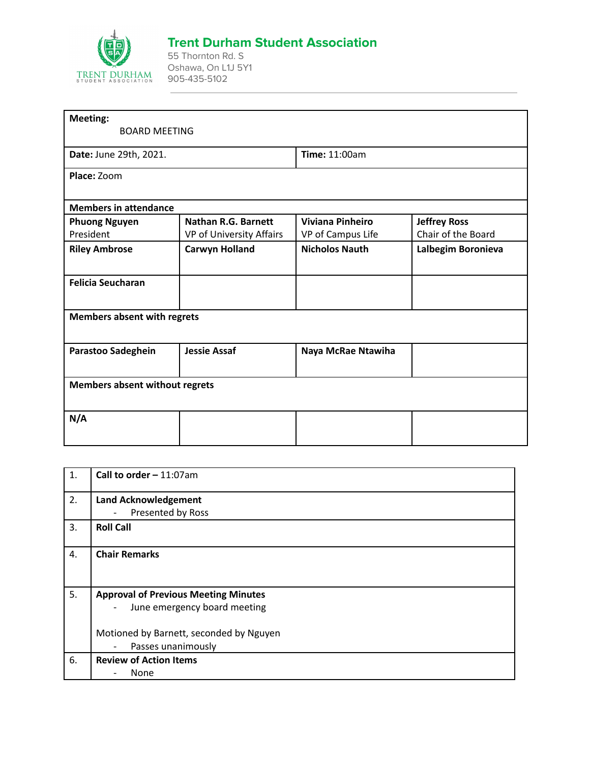

## **Trent Durham Student Association**

55 Thornton Rd. S Oshawa, On L1J 5Y1 905-435-5102

| <b>Nathan R.G. Barnett</b><br>VP of University Affairs | <b>Time: 11:00am</b><br><b>Viviana Pinheiro</b><br>VP of Campus Life | <b>Jeffrey Ross</b><br>Chair of the Board |
|--------------------------------------------------------|----------------------------------------------------------------------|-------------------------------------------|
|                                                        |                                                                      |                                           |
|                                                        |                                                                      |                                           |
|                                                        |                                                                      |                                           |
|                                                        |                                                                      |                                           |
|                                                        |                                                                      |                                           |
|                                                        |                                                                      |                                           |
| <b>Carwyn Holland</b>                                  | <b>Nicholos Nauth</b>                                                | Lalbegim Boronieva                        |
|                                                        |                                                                      |                                           |
|                                                        |                                                                      |                                           |
| <b>Jessie Assaf</b>                                    | Naya McRae Ntawiha                                                   |                                           |
|                                                        |                                                                      |                                           |
|                                                        |                                                                      |                                           |
|                                                        |                                                                      |                                           |

| 1. | Call to order $-11:07$ am                                |
|----|----------------------------------------------------------|
| 2. | <b>Land Acknowledgement</b>                              |
|    | Presented by Ross<br>$\overline{a}$                      |
| 3. | <b>Roll Call</b>                                         |
| 4. | <b>Chair Remarks</b>                                     |
| 5. | <b>Approval of Previous Meeting Minutes</b>              |
|    | June emergency board meeting<br>$\overline{\phantom{a}}$ |
|    | Motioned by Barnett, seconded by Nguyen                  |
|    | Passes unanimously<br>$\overline{\phantom{m}}$           |
| 6. | <b>Review of Action Items</b>                            |
|    | None                                                     |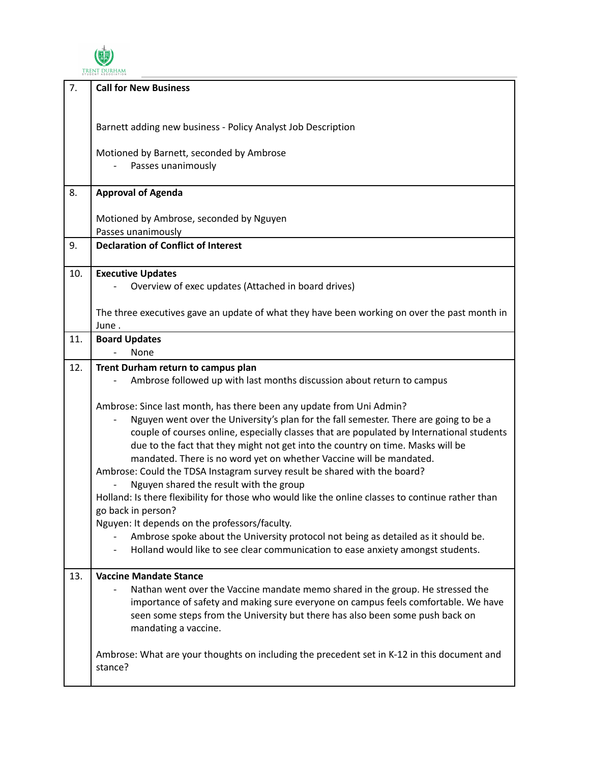

| 7.  | <b>Call for New Business</b>                                                                                                                                                                                                                                                                                                                                                                                                                                                                                                                 |
|-----|----------------------------------------------------------------------------------------------------------------------------------------------------------------------------------------------------------------------------------------------------------------------------------------------------------------------------------------------------------------------------------------------------------------------------------------------------------------------------------------------------------------------------------------------|
|     |                                                                                                                                                                                                                                                                                                                                                                                                                                                                                                                                              |
|     | Barnett adding new business - Policy Analyst Job Description                                                                                                                                                                                                                                                                                                                                                                                                                                                                                 |
|     | Motioned by Barnett, seconded by Ambrose<br>Passes unanimously                                                                                                                                                                                                                                                                                                                                                                                                                                                                               |
|     |                                                                                                                                                                                                                                                                                                                                                                                                                                                                                                                                              |
| 8.  | <b>Approval of Agenda</b>                                                                                                                                                                                                                                                                                                                                                                                                                                                                                                                    |
|     | Motioned by Ambrose, seconded by Nguyen<br>Passes unanimously                                                                                                                                                                                                                                                                                                                                                                                                                                                                                |
| 9.  | <b>Declaration of Conflict of Interest</b>                                                                                                                                                                                                                                                                                                                                                                                                                                                                                                   |
|     |                                                                                                                                                                                                                                                                                                                                                                                                                                                                                                                                              |
| 10. | <b>Executive Updates</b><br>Overview of exec updates (Attached in board drives)                                                                                                                                                                                                                                                                                                                                                                                                                                                              |
|     | The three executives gave an update of what they have been working on over the past month in                                                                                                                                                                                                                                                                                                                                                                                                                                                 |
| 11. | June.<br><b>Board Updates</b>                                                                                                                                                                                                                                                                                                                                                                                                                                                                                                                |
|     | None                                                                                                                                                                                                                                                                                                                                                                                                                                                                                                                                         |
| 12. | Trent Durham return to campus plan<br>Ambrose followed up with last months discussion about return to campus                                                                                                                                                                                                                                                                                                                                                                                                                                 |
|     | Ambrose: Since last month, has there been any update from Uni Admin?<br>Nguyen went over the University's plan for the fall semester. There are going to be a<br>couple of courses online, especially classes that are populated by International students<br>due to the fact that they might not get into the country on time. Masks will be<br>mandated. There is no word yet on whether Vaccine will be mandated.<br>Ambrose: Could the TDSA Instagram survey result be shared with the board?<br>Nguyen shared the result with the group |
|     | Holland: Is there flexibility for those who would like the online classes to continue rather than<br>go back in person?                                                                                                                                                                                                                                                                                                                                                                                                                      |
|     | Nguyen: It depends on the professors/faculty.<br>Ambrose spoke about the University protocol not being as detailed as it should be.<br>Holland would like to see clear communication to ease anxiety amongst students.                                                                                                                                                                                                                                                                                                                       |
| 13. | <b>Vaccine Mandate Stance</b><br>Nathan went over the Vaccine mandate memo shared in the group. He stressed the<br>importance of safety and making sure everyone on campus feels comfortable. We have<br>seen some steps from the University but there has also been some push back on<br>mandating a vaccine.                                                                                                                                                                                                                               |
|     | Ambrose: What are your thoughts on including the precedent set in K-12 in this document and<br>stance?                                                                                                                                                                                                                                                                                                                                                                                                                                       |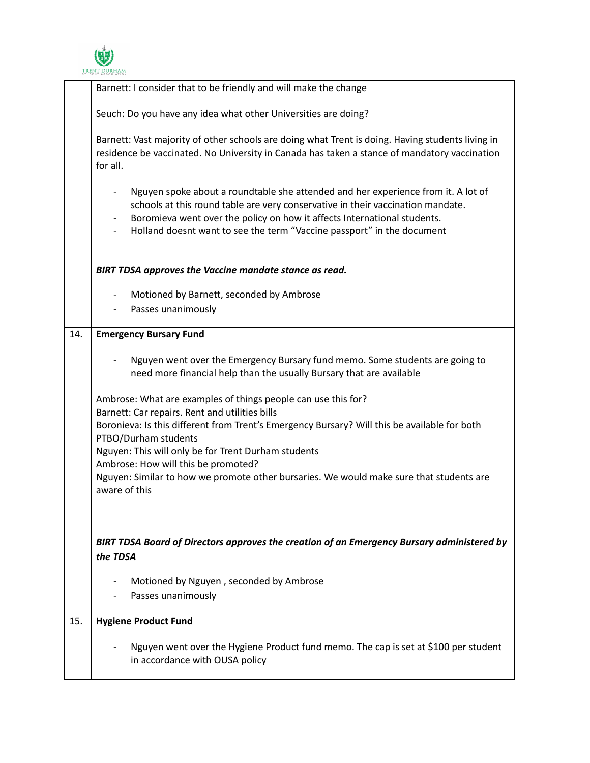

|     | Barnett: I consider that to be friendly and will make the change                                                                                                                                                                                                                                                                                       |
|-----|--------------------------------------------------------------------------------------------------------------------------------------------------------------------------------------------------------------------------------------------------------------------------------------------------------------------------------------------------------|
|     | Seuch: Do you have any idea what other Universities are doing?                                                                                                                                                                                                                                                                                         |
|     | Barnett: Vast majority of other schools are doing what Trent is doing. Having students living in<br>residence be vaccinated. No University in Canada has taken a stance of mandatory vaccination<br>for all.                                                                                                                                           |
|     | Nguyen spoke about a roundtable she attended and her experience from it. A lot of<br>$\overline{\phantom{a}}$<br>schools at this round table are very conservative in their vaccination mandate.<br>Boromieva went over the policy on how it affects International students.<br>Holland doesnt want to see the term "Vaccine passport" in the document |
|     | BIRT TDSA approves the Vaccine mandate stance as read.                                                                                                                                                                                                                                                                                                 |
|     | Motioned by Barnett, seconded by Ambrose<br>$\overline{\phantom{a}}$<br>Passes unanimously<br>$\overline{\phantom{a}}$                                                                                                                                                                                                                                 |
| 14. | <b>Emergency Bursary Fund</b>                                                                                                                                                                                                                                                                                                                          |
|     | Nguyen went over the Emergency Bursary fund memo. Some students are going to<br>need more financial help than the usually Bursary that are available                                                                                                                                                                                                   |
|     | Ambrose: What are examples of things people can use this for?<br>Barnett: Car repairs. Rent and utilities bills                                                                                                                                                                                                                                        |
|     | Boronieva: Is this different from Trent's Emergency Bursary? Will this be available for both<br>PTBO/Durham students                                                                                                                                                                                                                                   |
|     | Nguyen: This will only be for Trent Durham students<br>Ambrose: How will this be promoted?                                                                                                                                                                                                                                                             |
|     | Nguyen: Similar to how we promote other bursaries. We would make sure that students are<br>aware of this                                                                                                                                                                                                                                               |
|     |                                                                                                                                                                                                                                                                                                                                                        |
|     | BIRT TDSA Board of Directors approves the creation of an Emergency Bursary administered by<br>the TDSA                                                                                                                                                                                                                                                 |
|     | Motioned by Nguyen, seconded by Ambrose<br>Passes unanimously                                                                                                                                                                                                                                                                                          |
| 15. | <b>Hygiene Product Fund</b>                                                                                                                                                                                                                                                                                                                            |
|     | Nguyen went over the Hygiene Product fund memo. The cap is set at \$100 per student<br>in accordance with OUSA policy                                                                                                                                                                                                                                  |